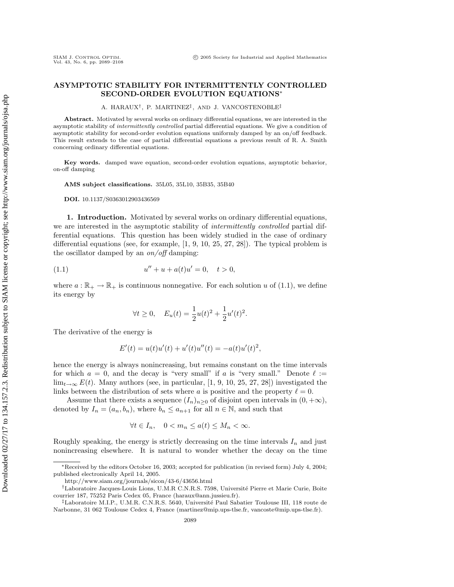## **ASYMPTOTIC STABILITY FOR INTERMITTENTLY CONTROLLED SECOND-ORDER EVOLUTION EQUATIONS**∗

A. HARAUX†, P. MARTINEZ‡, AND J. VANCOSTENOBLE‡

**Abstract.** Motivated by several works on ordinary differential equations, we are interested in the asymptotic stability of *intermittently controlled* partial differential equations. We give a condition of asymptotic stability for second-order evolution equations uniformly damped by an on/off feedback. This result extends to the case of partial differential equations a previous result of R. A. Smith concerning ordinary differential equations.

**Key words.** damped wave equation, second-order evolution equations, asymptotic behavior, on-off damping

**AMS subject classifications.** 35L05, 35L10, 35B35, 35B40

**DOI.** 10.1137/S0363012903436569

**1. Introduction.** Motivated by several works on ordinary differential equations, we are interested in the asymptotic stability of *intermittently controlled* partial differential equations. This question has been widely studied in the case of ordinary differential equations (see, for example, [1, 9, 10, 25, 27, 28]). The typical problem is the oscillator damped by an  $\omega$  of damping:

(1.1) 
$$
u'' + u + a(t)u' = 0, \quad t > 0,
$$

where  $a: \mathbb{R}_+ \to \mathbb{R}_+$  is continuous nonnegative. For each solution u of (1.1), we define its energy by

$$
\forall t \ge 0, \quad E_u(t) = \frac{1}{2}u(t)^2 + \frac{1}{2}u'(t)^2.
$$

The derivative of the energy is

$$
E'(t) = u(t)u'(t) + u'(t)u''(t) = -a(t)u'(t)^{2},
$$

hence the energy is always nonincreasing, but remains constant on the time intervals for which  $a = 0$ , and the decay is "very small" if a is "very small." Denote  $\ell :=$  $\lim_{t\to\infty} E(t)$ . Many authors (see, in particular, [1, 9, 10, 25, 27, 28]) investigated the links between the distribution of sets where a is positive and the property  $\ell = 0$ .

Assume that there exists a sequence  $(I_n)_{n>0}$  of disjoint open intervals in  $(0, +\infty)$ , denoted by  $I_n = (a_n, b_n)$ , where  $b_n \le a_{n+1}$  for all  $n \in \mathbb{N}$ , and such that

$$
\forall t \in I_n, \quad 0 < m_n \le a(t) \le M_n < \infty.
$$

Roughly speaking, the energy is strictly decreasing on the time intervals  $I_n$  and just nonincreasing elsewhere. It is natural to wonder whether the decay on the time

<sup>∗</sup>Received by the editors October 16, 2003; accepted for publication (in revised form) July 4, 2004; published electronically April 14, 2005.

http://www.siam.org/journals/sicon/43-6/43656.html

<sup>&</sup>lt;sup>†</sup>Laboratoire Jacques-Louis Lions, U.M.R.C.N.R.S. 7598, Université Pierre et Marie Curie, Boite courrier 187, 75252 Paris Cedex 05, France (haraux@ann.jussieu.fr).

<sup>&</sup>lt;sup>‡</sup>Laboratoire M.I.P., U.M.R. C.N.R.S. 5640, Université Paul Sabatier Toulouse III, 118 route de Narbonne, 31 062 Toulouse Cedex 4, France (martinez@mip.ups-tlse.fr, vancoste@mip.ups-tlse.fr).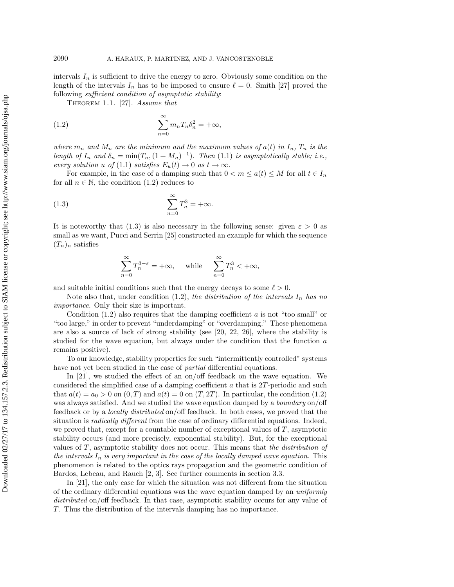intervals  $I_n$  is sufficient to drive the energy to zero. Obviously some condition on the length of the intervals  $I_n$  has to be imposed to ensure  $\ell = 0$ . Smith [27] proved the following sufficient condition of asymptotic stability:

THEOREM 1.1. [27]. Assume that

(1.2) 
$$
\sum_{n=0}^{\infty} m_n T_n \delta_n^2 = +\infty,
$$

where  $m_n$  and  $M_n$  are the minimum and the maximum values of  $a(t)$  in  $I_n$ ,  $T_n$  is the length of  $I_n$  and  $\delta_n = \min(T_n, (1 + M_n)^{-1})$ . Then (1.1) is asymptotically stable; i.e., every solution u of (1.1) satisfies  $E_u(t) \to 0$  as  $t \to \infty$ .

For example, in the case of a damping such that  $0 < m \leq a(t) \leq M$  for all  $t \in I_n$ for all  $n \in \mathbb{N}$ , the condition (1.2) reduces to

(1.3) 
$$
\sum_{n=0}^{\infty} T_n^3 = +\infty.
$$

It is noteworthy that (1.3) is also necessary in the following sense: given  $\varepsilon > 0$  as small as we want, Pucci and Serrin [25] constructed an example for which the sequence  $(T_n)_n$  satisfies

$$
\sum_{n=0}^{\infty} T_n^{3-\varepsilon} = +\infty, \quad \text{ while }\quad \sum_{n=0}^{\infty} T_n^3 < +\infty,
$$

and suitable initial conditions such that the energy decays to some  $\ell > 0$ .

Note also that, under condition  $(1.2)$ , the distribution of the intervals  $I_n$  has no importance. Only their size is important.

Condition  $(1.2)$  also requires that the damping coefficient a is not "too small" or "too large," in order to prevent "underdamping" or "overdamping." These phenomena are also a source of lack of strong stability (see [20, 22, 26], where the stability is studied for the wave equation, but always under the condition that the function a remains positive).

To our knowledge, stability properties for such "intermittently controlled" systems have not yet been studied in the case of *partial* differential equations.

In [21], we studied the effect of an on/off feedback on the wave equation. We considered the simplified case of a damping coefficient a that is 2T-periodic and such that  $a(t) = a_0 > 0$  on  $(0, T)$  and  $a(t) = 0$  on  $(T, 2T)$ . In particular, the condition (1.2) was always satisfied. And we studied the wave equation damped by a *boundary* on/off feedback or by a locally distributed on/off feedback. In both cases, we proved that the situation is radically different from the case of ordinary differential equations. Indeed, we proved that, except for a countable number of exceptional values of  $T$ , asymptotic stability occurs (and more precisely, exponential stability). But, for the exceptional values of T, asymptotic stability does not occur. This means that the distribution of the intervals  $I_n$  is very important in the case of the locally damped wave equation. This phenomenon is related to the optics rays propagation and the geometric condition of Bardos, Lebeau, and Rauch [2, 3]. See further comments in section 3.3.

In [21], the only case for which the situation was not different from the situation of the ordinary differential equations was the wave equation damped by an uniformly distributed on/off feedback. In that case, asymptotic stability occurs for any value of T. Thus the distribution of the intervals damping has no importance.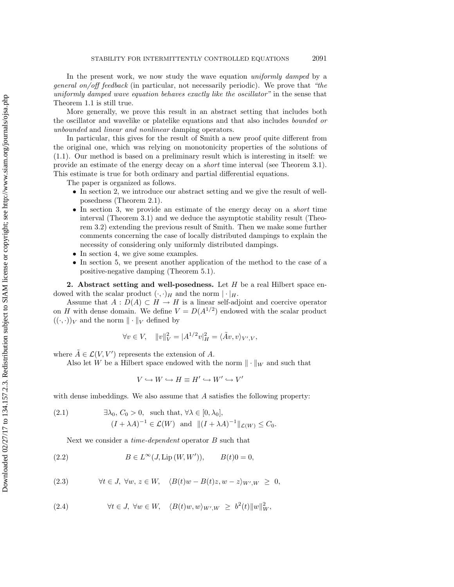In the present work, we now study the wave equation uniformly damped by a general on/off feedback (in particular, not necessarily periodic). We prove that "the uniformly damped wave equation behaves exactly like the oscillator" in the sense that Theorem 1.1 is still true.

More generally, we prove this result in an abstract setting that includes both the oscillator and wavelike or platelike equations and that also includes bounded or unbounded and linear and nonlinear damping operators.

In particular, this gives for the result of Smith a new proof quite different from the original one, which was relying on monotonicity properties of the solutions of (1.1). Our method is based on a preliminary result which is interesting in itself: we provide an estimate of the energy decay on a short time interval (see Theorem 3.1). This estimate is true for both ordinary and partial differential equations.

The paper is organized as follows.

- In section 2, we introduce our abstract setting and we give the result of wellposedness (Theorem 2.1).
- In section 3, we provide an estimate of the energy decay on a short time interval (Theorem 3.1) and we deduce the asymptotic stability result (Theorem 3.2) extending the previous result of Smith. Then we make some further comments concerning the case of locally distributed dampings to explain the necessity of considering only uniformly distributed dampings.
- In section 4, we give some examples.
- In section 5, we present another application of the method to the case of a positive-negative damping (Theorem 5.1).

**2. Abstract setting and well-posedness.** Let H be a real Hilbert space endowed with the scalar product  $(\cdot, \cdot)_H$  and the norm  $|\cdot|_H$ .

Assume that  $A: D(A) \subset H \to H$  is a linear self-adjoint and coercive operator on H with dense domain. We define  $V = D(A^{1/2})$  endowed with the scalar product  $((\cdot,\cdot))_V$  and the norm  $\|\cdot\|_V$  defined by

$$
\forall v \in V, \quad ||v||_V^2 = |A^{1/2}v|_H^2 = \langle \tilde{A}v, v \rangle_{V',V},
$$

where  $\tilde{A} \in \mathcal{L}(V, V')$  represents the extension of A.

Also let W be a Hilbert space endowed with the norm  $\|\cdot\|_W$  and such that

$$
V \hookrightarrow W \hookrightarrow H \equiv H' \hookrightarrow W' \hookrightarrow V'
$$

with dense imbeddings. We also assume that  $A$  satisfies the following property:

(2.1) 
$$
\exists \lambda_0, C_0 > 0, \text{ such that, } \forall \lambda \in [0, \lambda_0],
$$

$$
(I + \lambda A)^{-1} \in \mathcal{L}(W) \text{ and } ||(I + \lambda A)^{-1}||_{\mathcal{L}(W)} \leq C_0.
$$

Next we consider a *time-dependent* operator B such that

(2.2) 
$$
B \in L^{\infty}(J, Lip(W, W')), \qquad B(t)0 = 0,
$$

(2.3) 
$$
\forall t \in J, \ \forall w, \ z \in W, \ \ \langle B(t)w - B(t)z, w - z \rangle_{W',W} \geq 0,
$$

(2.4) 
$$
\forall t \in J, \ \forall w \in W, \ \ \langle B(t)w, w \rangle_{W',W} \geq b^2(t) \|w\|_W^2,
$$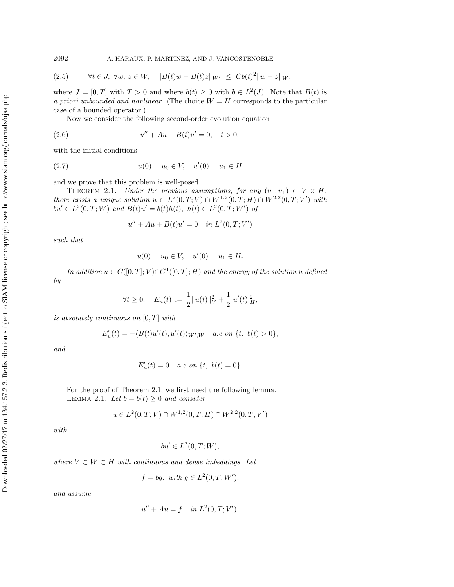(2.5) 
$$
\forall t \in J, \ \forall w, z \in W, \quad ||B(t)w - B(t)z||_{W'} \leq Cb(t)^{2}||w - z||_{W},
$$

where  $J = [0, T]$  with  $T > 0$  and where  $b(t) \geq 0$  with  $b \in L^2(J)$ . Note that  $B(t)$  is a priori unbounded and nonlinear. (The choice  $W = H$  corresponds to the particular case of a bounded operator.)

Now we consider the following second-order evolution equation

(2.6) 
$$
u'' + Au + B(t)u' = 0, \quad t > 0,
$$

with the initial conditions

$$
(2.7) \t u(0) = u_0 \in V, \quad u'(0) = u_1 \in H
$$

and we prove that this problem is well-posed.

THEOREM 2.1. Under the previous assumptions, for any  $(u_0, u_1) \in V \times H$ , there exists a unique solution  $u \in L^2(0,T;V) \cap W^{1,2}(0,T;H) \cap W^{2,2}(0,T;V')$  with  $bu' \in L^2(0,T;W)$  and  $B(t)u' = b(t)h(t), h(t) \in L^2(0,T;W')$  of

$$
u'' + Au + B(t)u' = 0 \quad in \ L^2(0, T; V')
$$

such that

$$
u(0) = u_0 \in V, \quad u'(0) = u_1 \in H.
$$

In addition  $u \in C([0,T]; V) \cap C^1([0,T]; H)$  and the energy of the solution u defined by

$$
\forall t \ge 0, \quad E_u(t) := \frac{1}{2} ||u(t)||_V^2 + \frac{1}{2} |u'(t)|_H^2,
$$

is absolutely continuous on  $[0, T]$  with

$$
E'_u(t) = -\langle B(t)u'(t), u'(t) \rangle_{W',W} \quad a.e \text{ on } \{t, b(t) > 0\},\
$$

and

$$
E'_u(t) = 0 \quad a.e \; on \; \{t, \; b(t) = 0\}.
$$

For the proof of Theorem 2.1, we first need the following lemma. LEMMA 2.1. Let  $b = b(t) \geq 0$  and consider

$$
u \in L^2(0, T; V) \cap W^{1,2}(0, T; H) \cap W^{2,2}(0, T; V')
$$

with

$$
bu' \in L^2(0, T; W),
$$

where  $V \subset W \subset H$  with continuous and dense imbeddings. Let

$$
f = bg, \text{ with } g \in L^2(0, T; W'),
$$

and assume

$$
u'' + Au = f \quad in \ L^2(0, T; V').
$$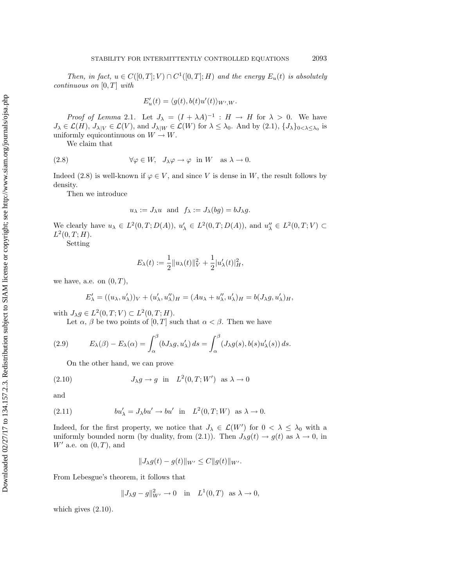Then, in fact,  $u \in C([0,T]; V) \cap C^1([0,T]; H)$  and the energy  $E_u(t)$  is absolutely continuous on  $[0, T]$  with

$$
E'_u(t) = \langle g(t), b(t)u'(t) \rangle_{W',W}.
$$

*Proof of Lemma* 2.1. Let  $J_{\lambda} = (I + \lambda A)^{-1}$  :  $H \rightarrow H$  for  $\lambda > 0$ . We have  $J_{\lambda} \in \mathcal{L}(H), J_{\lambda|V} \in \mathcal{L}(V)$ , and  $J_{\lambda|W} \in \mathcal{L}(W)$  for  $\lambda \leq \lambda_0$ . And by  $(2.1), \{J_{\lambda}\}_{0 < \lambda \leq \lambda_0}$  is uniformly equicontinuous on  $W \to W$ .

We claim that

(2.8) 
$$
\forall \varphi \in W, J_{\lambda} \varphi \to \varphi \text{ in } W \text{ as } \lambda \to 0.
$$

Indeed (2.8) is well-known if  $\varphi \in V$ , and since V is dense in W, the result follows by density.

Then we introduce

$$
u_{\lambda} := J_{\lambda}u
$$
 and  $f_{\lambda} := J_{\lambda}(bg) = bJ_{\lambda}g$ .

We clearly have  $u_{\lambda} \in L^2(0,T;D(A)), u'_{\lambda} \in L^2(0,T;D(A)),$  and  $u''_{\lambda} \in L^2(0,T;V) \subset$  $L^2(0,T;H)$ .

Setting

$$
E_{\lambda}(t) := \frac{1}{2} ||u_{\lambda}(t)||_V^2 + \frac{1}{2} |u'_{\lambda}(t)|_H^2,
$$

we have, a.e. on  $(0, T)$ ,

$$
E'_{\lambda} = ((u_{\lambda}, u'_{\lambda}))_V + (u'_{\lambda}, u''_{\lambda})_H = (Au_{\lambda} + u''_{\lambda}, u'_{\lambda})_H = b(J_{\lambda}g, u'_{\lambda})_H,
$$

with  $J_{\lambda}g \in L^2(0,T;V) \subset L^2(0,T;H)$ .

Let  $\alpha$ ,  $\beta$  be two points of  $[0, T]$  such that  $\alpha < \beta$ . Then we have

(2.9) 
$$
E_{\lambda}(\beta) - E_{\lambda}(\alpha) = \int_{\alpha}^{\beta} (bJ_{\lambda}g, u_{\lambda}') ds = \int_{\alpha}^{\beta} (J_{\lambda}g(s), b(s)u_{\lambda}'(s)) ds.
$$

On the other hand, we can prove

(2.10) 
$$
J_{\lambda}g \to g \text{ in } L^2(0,T;W') \text{ as } \lambda \to 0
$$

and

(2.11) 
$$
bu'_{\lambda} = J_{\lambda}bu' \rightarrow bu' \text{ in } L^2(0,T;W) \text{ as } \lambda \to 0.
$$

Indeed, for the first property, we notice that  $J_{\lambda} \in \mathcal{L}(W')$  for  $0 < \lambda \leq \lambda_0$  with a uniformly bounded norm (by duality, from (2.1)). Then  $J_{\lambda}g(t) \to g(t)$  as  $\lambda \to 0$ , in  $W'$  a.e. on  $(0, T)$ , and

$$
||J_{\lambda}g(t) - g(t)||_{W'} \leq C||g(t)||_{W'}.
$$

From Lebesgue's theorem, it follows that

$$
||J_{\lambda}g - g||_{W'}^2 \to 0 \quad \text{in} \quad L^1(0,T) \quad \text{as } \lambda \to 0,
$$

which gives (2.10).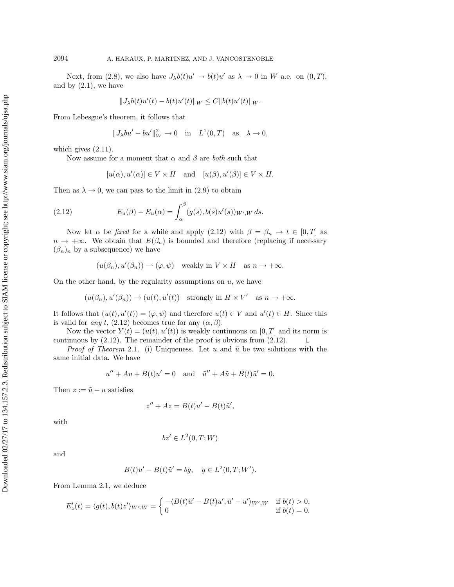Next, from (2.8), we also have  $J_{\lambda}b(t)u' \rightarrow b(t)u'$  as  $\lambda \rightarrow 0$  in W a.e. on  $(0, T)$ , and by  $(2.1)$ , we have

$$
||J_{\lambda}b(t)u'(t) - b(t)u'(t)||_W \leq C||b(t)u'(t)||_W.
$$

From Lebesgue's theorem, it follows that

$$
||J_{\lambda}bu'-bu'||_W^2 \to 0
$$
 in  $L^1(0,T)$  as  $\lambda \to 0$ ,

which gives  $(2.11)$ .

Now assume for a moment that  $\alpha$  and  $\beta$  are *both* such that

$$
[u(\alpha), u'(\alpha)] \in V \times H \quad \text{and} \quad [u(\beta), u'(\beta)] \in V \times H.
$$

Then as  $\lambda \to 0$ , we can pass to the limit in (2.9) to obtain

(2.12) 
$$
E_u(\beta) - E_u(\alpha) = \int_{\alpha}^{\beta} (g(s), b(s)u'(s))_{W',W} ds.
$$

Now let  $\alpha$  be *fixed* for a while and apply (2.12) with  $\beta = \beta_n \rightarrow t \in [0, T]$  as  $n \to +\infty$ . We obtain that  $E(\beta_n)$  is bounded and therefore (replacing if necessary  $(\beta_n)_n$  by a subsequence) we have

$$
(u(\beta_n), u'(\beta_n)) \to (\varphi, \psi)
$$
 weakly in  $V \times H$  as  $n \to +\infty$ .

On the other hand, by the regularity assumptions on  $u$ , we have

$$
(u(\beta_n), u'(\beta_n)) \to (u(t), u'(t))
$$
 strongly in  $H \times V'$  as  $n \to +\infty$ .

It follows that  $(u(t), u'(t)) = (\varphi, \psi)$  and therefore  $u(t) \in V$  and  $u'(t) \in H$ . Since this is valid for any t, (2.12) becomes true for any  $(\alpha, \beta)$ .

Now the vector  $Y(t) = (u(t), u'(t))$  is weakly continuous on  $[0, T]$  and its norm is continuous by (2.12). The remainder of the proof is obvious from (2.12).  $\Box$ 

*Proof of Theorem* 2.1. (i) Uniqueness. Let u and  $\tilde{u}$  be two solutions with the same initial data. We have

$$
u'' + Au + B(t)u' = 0 \quad \text{and} \quad \tilde{u}'' + A\tilde{u} + B(t)\tilde{u}' = 0.
$$

Then  $z := \tilde{u} - u$  satisfies

$$
z'' + Az = B(t)u' - B(t)\tilde{u}',
$$

with

$$
bz' \in L^2(0,T;W)
$$

and

$$
B(t)u' - B(t)\tilde{u}' = bg, \quad g \in L^2(0, T; W').
$$

From Lemma 2.1, we deduce

$$
E'_{z}(t) = \langle g(t), b(t)z' \rangle_{W',W} = \begin{cases} -\langle B(t)\tilde{u}' - B(t)u', \tilde{u}' - u' \rangle_{W',W} & \text{if } b(t) > 0, \\ 0 & \text{if } b(t) = 0. \end{cases}
$$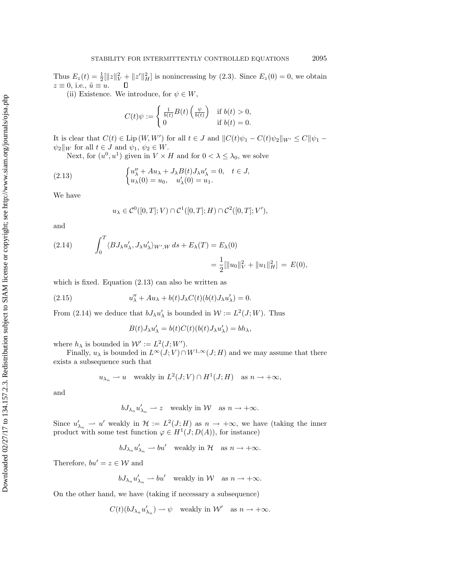Thus  $E_z(t) = \frac{1}{2} [\|z\|_V^2 + \|z'\|_H^2]$  is nonincreasing by (2.3). Since  $E_z(0) = 0$ , we obtain  $z \equiv 0$ , i.e.,  $\tilde{u} \equiv u$ .

(ii) Existence. We introduce, for  $\psi \in W$ ,

$$
C(t)\psi := \begin{cases} \frac{1}{b(t)}B(t)\left(\frac{\psi}{b(t)}\right) & \text{if } b(t) > 0, \\ 0 & \text{if } b(t) = 0. \end{cases}
$$

It is clear that  $C(t) \in \text{Lip}(W, W')$  for all  $t \in J$  and  $||C(t)\psi_1 - C(t)\psi_2||_{W'} \leq C||\psi_1 \psi_2\|_W$  for all  $t \in J$  and  $\psi_1, \psi_2 \in W$ .

Next, for  $(u^0, u^1)$  given in  $V \times H$  and for  $0 < \lambda \leq \lambda_0$ , we solve

(2.13) 
$$
\begin{cases} u''_{\lambda} + Au_{\lambda} + J_{\lambda}B(t)J_{\lambda}u'_{\lambda} = 0, & t \in J, \\ u_{\lambda}(0) = u_0, & u'_{\lambda}(0) = u_1. \end{cases}
$$

We have

$$
u_{\lambda} \in \mathcal{C}^0([0,T];V) \cap \mathcal{C}^1([0,T];H) \cap \mathcal{C}^2([0,T];V'),
$$

and

(2.14) 
$$
\int_0^T \langle BJ_\lambda u'_\lambda, J_\lambda u'_\lambda \rangle_{W',W} ds + E_\lambda(T) = E_\lambda(0) = \frac{1}{2} [\|u_0\|_V^2 + \|u_1\|_H^2] = E(0),
$$

which is fixed. Equation (2.13) can also be written as

(2.15) 
$$
u''_{\lambda} + Au_{\lambda} + b(t)J_{\lambda}C(t)(b(t)J_{\lambda}u'_{\lambda}) = 0.
$$

From (2.14) we deduce that  $bJ_{\lambda}u'_{\lambda}$  is bounded in  $\mathcal{W} := L^2(J;W)$ . Thus

$$
B(t)J_{\lambda}u'_{\lambda} = b(t)C(t)(b(t)J_{\lambda}u'_{\lambda}) = bh_{\lambda},
$$

where  $h_{\lambda}$  is bounded in  $W' := L^2(J; W')$ .

 $\overline{a}$ 

Finally,  $u_\lambda$  is bounded in  $L^\infty(J; V) \cap W^{1,\infty}(J; H)$  and we may assume that there exists a subsequence such that

$$
u_{\lambda_n} \rightharpoonup u
$$
 weakly in  $L^2(J;V) \cap H^1(J;H)$  as  $n \to +\infty$ ,

and

$$
bJ_{\lambda_n}u'_{\lambda_n} \rightharpoonup z \quad \text{weakly in } \mathcal{W} \quad \text{as } n \to +\infty.
$$

Since  $u'_{\lambda_n} \to u'$  weakly in  $\mathcal{H} := L^2(J; H)$  as  $n \to +\infty$ , we have (taking the inner product with some test function  $\varphi \in H^1(J; D(A))$ , for instance)

 $bJ_{\lambda_n}u'_{\lambda_n} \rightharpoonup bu'$  weakly in  $\mathcal{H}$  as  $n \to +\infty$ .

Therefore,  $bu' = z \in \mathcal{W}$  and

$$
bJ_{\lambda_n}u'_{\lambda_n} \rightharpoonup bu' \quad \text{weakly in } \mathcal{W} \quad \text{as } n \to +\infty.
$$

On the other hand, we have (taking if necessary a subsequence)

$$
C(t)(bJ_{\lambda_n}u'_{\lambda_n}) \to \psi
$$
 weakly in W' as  $n \to +\infty$ .

Downloaded 02/27/17 to 134.157.2.3. Redistribution subject to SIAM license or copyright; see http://www.siam.org/journals/ojsa.php Downloaded 02/27/17 to 134.157.2.3. Redistribution subject to SIAM license or copyright; see http://www.siam.org/journals/ojsa.php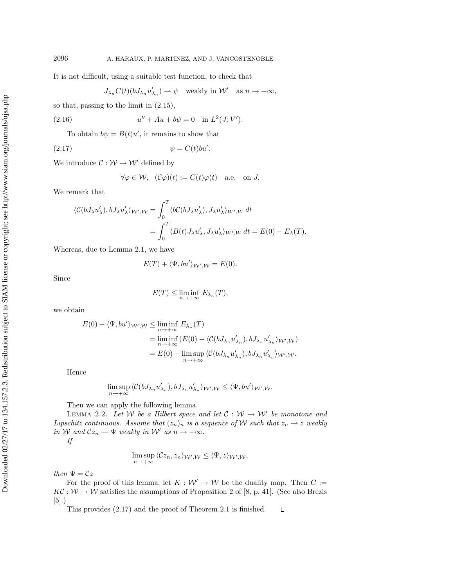It is not difficult, using a suitable test function, to check that

$$
J_{\lambda_n} C(t) (b J_{\lambda_n} u'_{\lambda_n}) \rightharpoonup \psi \quad \text{weakly in } \mathcal{W}' \quad \text{as } n \to +\infty,
$$

so that, passing to the limit in (2.15),

(2.16) 
$$
u'' + Au + b\psi = 0 \text{ in } L^2(J; V').
$$

To obtain  $b\psi = B(t)u'$ , it remains to show that

$$
\psi = C(t)bu'.
$$

We introduce  $C: W \to W'$  defined by

$$
\forall \varphi \in \mathcal{W}, \ \ (\mathcal{C}\varphi)(t) := C(t)\varphi(t) \quad \text{a.e. on } J.
$$

We remark that

$$
\langle \mathcal{C}(bJ_{\lambda}u'_{\lambda}), bJ_{\lambda}u'_{\lambda}\rangle_{\mathcal{W}',\mathcal{W}} = \int_0^T \langle b\mathcal{C}(bJ_{\lambda}u'_{\lambda}), J_{\lambda}u'_{\lambda}\rangle_{W',W} dt
$$
  
= 
$$
\int_0^T \langle B(t)J_{\lambda}u'_{\lambda}, J_{\lambda}u'_{\lambda}\rangle_{W',W} dt = E(0) - E_{\lambda}(T).
$$

Whereas, due to Lemma 2.1, we have

$$
E(T) + \langle \Psi, bu' \rangle_{\mathcal{W}',\mathcal{W}} = E(0).
$$

Since

$$
E(T) \le \liminf_{n \to +\infty} E_{\lambda_n}(T),
$$

we obtain

$$
E(0) - \langle \Psi, bu' \rangle_{\mathcal{W}',\mathcal{W}} \le \liminf_{n \to +\infty} E_{\lambda_n}(T)
$$
  
= 
$$
\liminf_{n \to +\infty} (E(0) - \langle C(bJ_{\lambda_n} u'_{\lambda_n}), bJ_{\lambda_n} u'_{\lambda_n} \rangle_{\mathcal{W}',\mathcal{W}})
$$
  
= 
$$
E(0) - \limsup_{n \to +\infty} \langle C(bJ_{\lambda_n} u'_{\lambda_n}), bJ_{\lambda_n} u'_{\lambda_n} \rangle_{\mathcal{W}',\mathcal{W}}.
$$

Hence

$$
\limsup_{n\to+\infty}\langle \mathcal{C}(bJ_{\lambda_n}u'_{\lambda_n}),bJ_{\lambda_n}u'_{\lambda_n}\rangle_{\mathcal{W}',\mathcal{W}}\leq \langle \Psi,bu'\rangle_{\mathcal{W}',\mathcal{W}}.
$$

Then we can apply the following lemma.

LEMMA 2.2. Let W be a Hilbert space and let  $C: W \rightarrow W'$  be monotone and Lipschitz continuous. Assume that  $(z_n)_n$  is a sequence of W such that  $z_n \to z$  weakly in W and  $Cz_n \rightharpoonup \Psi$  weakly in W' as  $n \to +\infty$ .

If

$$
\limsup_{n\to+\infty}\langle\mathcal{C}z_n,z_n\rangle_{\mathcal{W}',\mathcal{W}}\leq\langle\Psi,z\rangle_{\mathcal{W}',\mathcal{W}},
$$

then  $\Psi = \mathcal{C}z$ 

For the proof of this lemma, let  $K: W' \to W$  be the duality map. Then  $C :=$  $K\mathcal{C}: \mathcal{W} \to \mathcal{W}$  satisfies the assumptions of Proposition 2 of [8, p. 41]. (See also Brezis [5].)

This provides (2.17) and the proof of Theorem 2.1 is finished.  $\Box$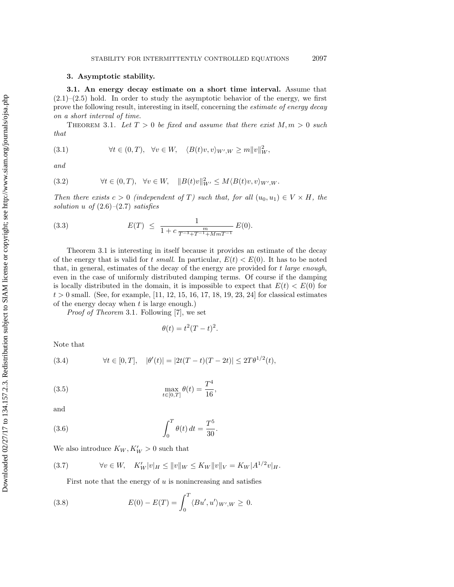## **3. Asymptotic stability.**

**3.1. An energy decay estimate on a short time interval.** Assume that  $(2.1)$ – $(2.5)$  hold. In order to study the asymptotic behavior of the energy, we first prove the following result, interesting in itself, concerning the estimate of energy decay on a short interval of time.

THEOREM 3.1. Let  $T > 0$  be fixed and assume that there exist  $M, m > 0$  such that

(3.1) 
$$
\forall t \in (0, T), \quad \forall v \in W, \quad \langle B(t)v, v \rangle_{W', W} \ge m \|v\|_W^2,
$$

and

(3.2) 
$$
\forall t \in (0, T), \quad \forall v \in W, \quad ||B(t)v||^2_{W'} \leq M \langle B(t)v, v \rangle_{W',W}.
$$

Then there exists  $c > 0$  (independent of T) such that, for all  $(u_0, u_1) \in V \times H$ , the solution u of  $(2.6)$ – $(2.7)$  satisfies

(3.3) 
$$
E(T) \leq \frac{1}{1 + c \frac{m}{T^{-3} + T^{-1} + M m T^{-1}}} E(0).
$$

Theorem 3.1 is interesting in itself because it provides an estimate of the decay of the energy that is valid for t small. In particular,  $E(t) < E(0)$ . It has to be noted that, in general, estimates of the decay of the energy are provided for t large enough, even in the case of uniformly distributed damping terms. Of course if the damping is locally distributed in the domain, it is impossible to expect that  $E(t) < E(0)$  for  $t > 0$  small. (See, for example, [11, 12, 15, 16, 17, 18, 19, 23, 24] for classical estimates of the energy decay when  $t$  is large enough.)

Proof of Theorem 3.1. Following [7], we set

$$
\theta(t) = t^2 (T - t)^2.
$$

Note that

(3.4) 
$$
\forall t \in [0, T], \quad |\theta'(t)| = |2t(T - t)(T - 2t)| \le 2T\theta^{1/2}(t),
$$

(3.5) 
$$
\max_{t \in [0,T]} \theta(t) = \frac{T^4}{16},
$$

and

(3.6) 
$$
\int_0^T \theta(t) dt = \frac{T^5}{30}.
$$

We also introduce  $K_W, K'_W > 0$  such that

$$
(3.7) \t\t \forall v \in W, \quad K'_W|v|_H \leq ||v||_W \leq K_W ||v||_V = K_W |A^{1/2}v|_H.
$$

First note that the energy of  $u$  is nonincreasing and satisfies

(3.8) 
$$
E(0) - E(T) = \int_0^T \langle Bu', u' \rangle_{W', W} \ge 0.
$$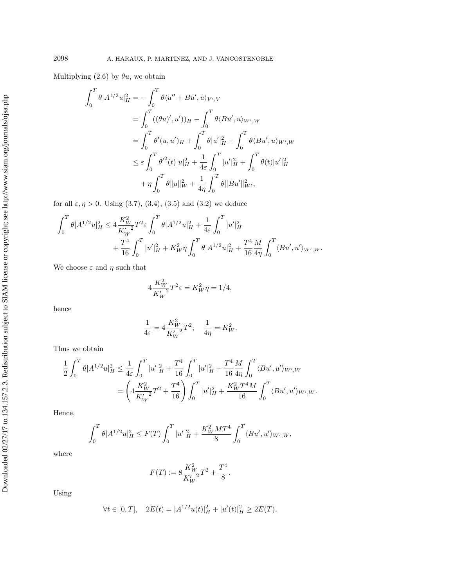Multiplying (2.6) by  $\theta u$ , we obtain

$$
\int_0^T \theta |A^{1/2} u|_H^2 = -\int_0^T \theta \langle u'' + Bu', u \rangle_{V',V}
$$
  
= 
$$
\int_0^T ((\theta u)', u'))_H - \int_0^T \theta \langle Bu', u \rangle_{W',W}
$$
  
= 
$$
\int_0^T \theta'(u, u')_H + \int_0^T \theta |u'|_H^2 - \int_0^T \theta \langle Bu', u \rangle_{W',W}
$$
  

$$
\leq \varepsilon \int_0^T \theta'^2(t) |u|_H^2 + \frac{1}{4\varepsilon} \int_0^T |u'|_H^2 + \int_0^T \theta(t) |u'|_H^2
$$
  
+ 
$$
\eta \int_0^T \theta ||u||_W^2 + \frac{1}{4\eta} \int_0^T \theta ||Bu'||_{W'}^2,
$$

for all  $\varepsilon, \eta > 0$ . Using (3.7), (3.4), (3.5) and (3.2) we deduce

$$
\begin{aligned} \int_0^T \theta |A^{1/2} u|_H^2 &\leq 4 \frac{K_W^2}{K_W'} T^2 \varepsilon \int_0^T \theta |A^{1/2} u|_H^2 + \frac{1}{4 \varepsilon} \int_0^T |u'|_H^2 \\ &\quad + \frac{T^4}{16} \int_0^T |u'|_H^2 + K_W^2 \eta \int_0^T \theta |A^{1/2} u|_H^2 + \frac{T^4}{16} \frac{M}{4 \eta} \int_0^T \langle B u', u' \rangle_{W',W}. \end{aligned}
$$

We choose  $\varepsilon$  and  $\eta$  such that

$$
4\frac{K_W^2}{K_W'}T^2\varepsilon = K_W^2 \eta = 1/4,
$$

hence

$$
\frac{1}{4\varepsilon} = 4 \frac{K_W^2}{K_W'} T^2; \quad \frac{1}{4\eta} = K_W^2.
$$

Thus we obtain

$$
\frac{1}{2} \int_0^T \theta |A^{1/2} u|_H^2 \le \frac{1}{4\varepsilon} \int_0^T |u'|_H^2 + \frac{T^4}{16} \int_0^T |u'|_H^2 + \frac{T^4}{16} \frac{M}{4\eta} \int_0^T \langle Bu', u' \rangle_{W',W} \n= \left( 4 \frac{K_W^2}{K_W'} T^2 + \frac{T^4}{16} \right) \int_0^T |u'|_H^2 + \frac{K_W^2 T^4 M}{16} \int_0^T \langle Bu', u' \rangle_{W',W}.
$$

Hence,

$$
\int_0^T \theta |A^{1/2} u|_H^2 \le F(T) \int_0^T |u'|_H^2 + \frac{K_W^2 MT^4}{8} \int_0^T \langle Bu', u' \rangle_{W',W},
$$

where

$$
F(T) := 8 \frac{K_W^2}{K_W'} T^2 + \frac{T^4}{8}.
$$

Using

$$
\forall t \in [0, T], \quad 2E(t) = |A^{1/2}u(t)|_H^2 + |u'(t)|_H^2 \ge 2E(T),
$$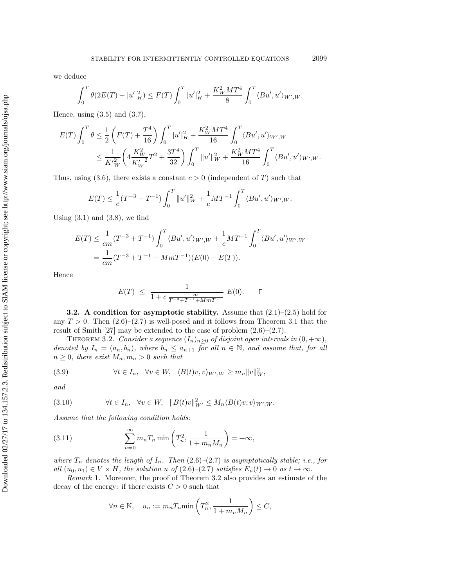we deduce

$$
\int_0^T \theta(2E(T) - |u'|_H^2) \leq F(T) \int_0^T |u'|_H^2 + \frac{K_W^2 MT^4}{8} \int_0^T \langle Bu', u' \rangle_{W',W}.
$$

Hence, using  $(3.5)$  and  $(3.7)$ ,

$$
\begin{split} E(T) \int_0^T \theta &\leq \frac{1}{2} \left( F(T) + \frac{T^4}{16} \right) \int_0^T |u'|_H^2 + \frac{K_W^2 M T^4}{16} \int_0^T \langle Bu', u' \rangle_{W',W} \\ &\leq \frac{1}{K_W^{\prime 2}} \bigg( 4 \frac{K_W^2}{K_W^{\prime 2}} T^2 + \frac{3 T^4}{32} \bigg) \int_0^T \|u'\|_W^2 + \frac{K_W^2 M T^4}{16} \int_0^T \langle Bu', u' \rangle_{W',W}. \end{split}
$$

Thus, using (3.6), there exists a constant  $c > 0$  (independent of T) such that

$$
E(T) \le \frac{1}{c}(T^{-3} + T^{-1}) \int_0^T \|u'\|_W^2 + \frac{1}{c}MT^{-1} \int_0^T \langle Bu', u' \rangle_{W',W}.
$$

Using  $(3.1)$  and  $(3.8)$ , we find

$$
E(T) \leq \frac{1}{cm} (T^{-3} + T^{-1}) \int_0^T \langle Bu', u' \rangle_{W',W} + \frac{1}{c} MT^{-1} \int_0^T \langle Bu', u' \rangle_{W',W}
$$
  
=  $\frac{1}{cm} (T^{-3} + T^{-1} + MmT^{-1})(E(0) - E(T)).$ 

Hence

$$
E(T) \leq \frac{1}{1 + c \frac{m}{T^{-3} + T^{-1} + M m T^{-1}}} E(0). \quad \Box
$$

**3.2. A condition for asymptotic stability.** Assume that (2.1)–(2.5) hold for any  $T > 0$ . Then  $(2.6)$ – $(2.7)$  is well-posed and it follows from Theorem 3.1 that the result of Smith [27] may be extended to the case of problem  $(2.6)$ – $(2.7)$ .

THEOREM 3.2. Consider a sequence  $(I_n)_{n>0}$  of disjoint open intervals in  $(0, +\infty)$ , denoted by  $I_n = (a_n, b_n)$ , where  $b_n \le a_{n+1}$  for all  $n \in \mathbb{N}$ , and assume that, for all  $n \geq 0$ , there exist  $M_n, m_n > 0$  such that

(3.9) 
$$
\forall t \in I_n, \quad \forall v \in W, \quad \langle B(t)v, v \rangle_{W',W} \geq m_n ||v||_W^2,
$$

and

$$
(3.10) \t\t \forall t \in I_n, \quad \forall v \in W, \quad \|B(t)v\|_{W'}^2 \le M_n \langle B(t)v, v \rangle_{W',W}.
$$

Assume that the following condition holds:

(3.11) 
$$
\sum_{n=0}^{\infty} m_n T_n \min\left(T_n^2, \frac{1}{1 + m_n M_n}\right) = +\infty,
$$

where  $T_n$  denotes the length of  $I_n$ . Then  $(2.6)-(2.7)$  is asymptotically stable; i.e., for all  $(u_0, u_1) \in V \times H$ , the solution u of  $(2.6)$ – $(2.7)$  satisfies  $E_u(t) \to 0$  as  $t \to \infty$ .

Remark 1. Moreover, the proof of Theorem 3.2 also provides an estimate of the decay of the energy: if there exists  $C > 0$  such that

$$
\forall n \in \mathbb{N}, \quad u_n := m_n T_n \min\left(T_n^2, \frac{1}{1 + m_n M_n}\right) \le C,
$$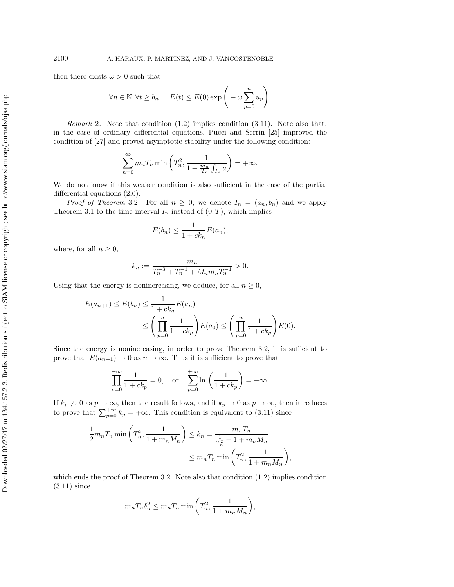then there exists  $\omega > 0$  such that

$$
\forall n \in \mathbb{N}, \forall t \ge b_n, \quad E(t) \le E(0) \exp\bigg(-\omega \sum_{p=0}^n u_p\bigg).
$$

*Remark* 2. Note that condition  $(1.2)$  implies condition  $(3.11)$ . Note also that, in the case of ordinary differential equations, Pucci and Serrin [25] improved the condition of [27] and proved asymptotic stability under the following condition:

$$
\sum_{n=0}^{\infty} m_n T_n \min\left(T_n^2, \frac{1}{1 + \frac{m_n}{T_n} \int_{I_n} a}\right) = +\infty.
$$

We do not know if this weaker condition is also sufficient in the case of the partial differential equations (2.6).

*Proof of Theorem 3.2.* For all  $n \geq 0$ , we denote  $I_n = (a_n, b_n)$  and we apply Theorem 3.1 to the time interval  $I_n$  instead of  $(0, T)$ , which implies

$$
E(b_n) \le \frac{1}{1 + ck_n} E(a_n),
$$

where, for all  $n \geq 0$ ,

$$
k_n := \frac{m_n}{T_n^{-3} + T_n^{-1} + M_n m_n T_n^{-1}} > 0.
$$

Using that the energy is nonincreasing, we deduce, for all  $n \geq 0$ ,

$$
E(a_{n+1}) \le E(b_n) \le \frac{1}{1+ck_n} E(a_n)
$$
  
 
$$
\le \left(\prod_{p=0}^n \frac{1}{1+ck_p}\right) E(a_0) \le \left(\prod_{p=0}^n \frac{1}{1+ck_p}\right) E(0).
$$

Since the energy is nonincreasing, in order to prove Theorem 3.2, it is sufficient to prove that  $E(a_{n+1}) \to 0$  as  $n \to \infty$ . Thus it is sufficient to prove that

$$
\prod_{p=0}^{+\infty} \frac{1}{1+ck_p} = 0, \text{ or } \sum_{p=0}^{+\infty} \ln\left(\frac{1}{1+ck_p}\right) = -\infty.
$$

If  $k_p \nightharpoonup 0$  as  $p \to \infty$ , then the result follows, and if  $k_p \to 0$  as  $p \to \infty$ , then it reduces to prove that  $\sum_{p=0}^{+\infty} k_p = +\infty$ . This condition is equivalent to (3.11) since

$$
\frac{1}{2}m_nT_n \min\left(T_n^2, \frac{1}{1+m_nM_n}\right) \le k_n = \frac{m_nT_n}{\frac{1}{T_n^2} + 1 + m_nM_n}
$$
\n
$$
\le m_nT_n \min\left(T_n^2, \frac{1}{1+m_nM_n}\right),
$$

which ends the proof of Theorem 3.2. Note also that condition  $(1.2)$  implies condition (3.11) since

$$
m_n T_n \delta_n^2 \le m_n T_n \min\left(T_n^2, \frac{1}{1 + m_n M_n}\right),\,
$$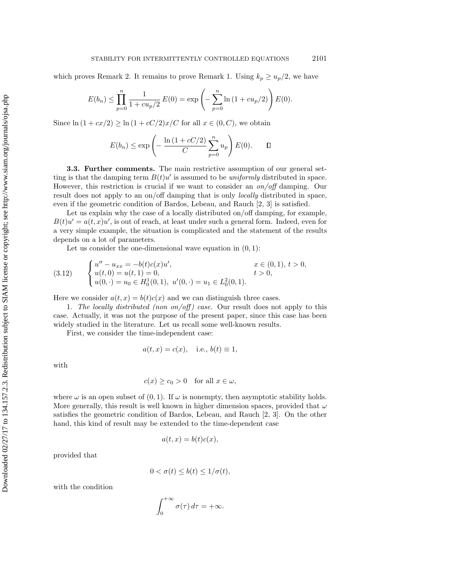which proves Remark 2. It remains to prove Remark 1. Using  $k_p \geq u_p/2$ , we have

$$
E(b_n) \le \prod_{p=0}^n \frac{1}{1 + cu_p/2} E(0) = \exp\left(-\sum_{p=0}^n \ln(1 + cu_p/2)\right) E(0).
$$

Since  $\ln (1 + cx/2) \ge \ln (1 + cC/2)x/C$  for all  $x \in (0, C)$ , we obtain

$$
E(b_n) \le \exp\left(-\frac{\ln\left(1 + cC/2\right)}{C} \sum_{p=0}^n u_p\right) E(0). \qquad \Box
$$

**3.3. Further comments.** The main restrictive assumption of our general setting is that the damping term  $B(t)u'$  is assumed to be *uniformly* distributed in space. However, this restriction is crucial if we want to consider an on/off damping. Our result does not apply to an on/off damping that is only locally distributed in space, even if the geometric condition of Bardos, Lebeau, and Rauch [2, 3] is satisfied.

Let us explain why the case of a locally distributed on/off damping, for example,  $B(t)u' = a(t, x)u'$ , is out of reach, at least under such a general form. Indeed, even for a very simple example, the situation is complicated and the statement of the results depends on a lot of parameters.

Let us consider the one-dimensional wave equation in  $(0, 1)$ :

$$
(3.12) \qquad \begin{cases} u'' - u_{xx} = -b(t)c(x)u', & x \in (0,1), \ t > 0, \\ u(t,0) = u(t,1) = 0, & t > 0, \\ u(0,\cdot) = u_0 \in H_0^1(0,1), \ u'(0,\cdot) = u_1 \in L_0^2(0,1). \end{cases}
$$

Here we consider  $a(t, x) = b(t)c(x)$  and we can distinguish three cases.

1. The locally distributed (non on/off) case. Our result does not apply to this case. Actually, it was not the purpose of the present paper, since this case has been widely studied in the literature. Let us recall some well-known results.

First, we consider the time-independent case:

$$
a(t, x) = c(x), \quad \text{i.e., } b(t) \equiv 1,
$$

with

$$
c(x) \ge c_0 > 0 \quad \text{for all } x \in \omega,
$$

where  $\omega$  is an open subset of  $(0, 1)$ . If  $\omega$  is nonempty, then asymptotic stability holds. More generally, this result is well known in higher dimension spaces, provided that  $\omega$ satisfies the geometric condition of Bardos, Lebeau, and Rauch [2, 3]. On the other hand, this kind of result may be extended to the time-dependent case

$$
a(t,x) = b(t)c(x),
$$

provided that

$$
0 < \sigma(t) \le b(t) \le 1/\sigma(t),
$$

with the condition

$$
\int_0^{+\infty} \sigma(\tau) d\tau = +\infty.
$$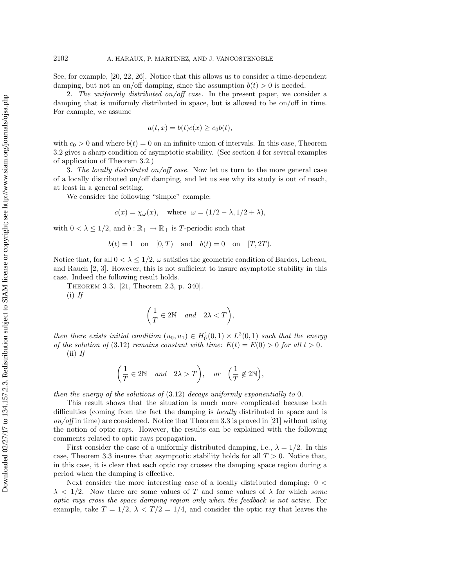See, for example, [20, 22, 26]. Notice that this allows us to consider a time-dependent damping, but not an on/off damping, since the assumption  $b(t) > 0$  is needed.

2. The uniformly distributed on/off case. In the present paper, we consider a damping that is uniformly distributed in space, but is allowed to be on/off in time. For example, we assume

$$
a(t,x) = b(t)c(x) \ge c_0b(t),
$$

with  $c_0 > 0$  and where  $b(t) = 0$  on an infinite union of intervals. In this case, Theorem 3.2 gives a sharp condition of asymptotic stability. (See section 4 for several examples of application of Theorem 3.2.)

3. The locally distributed on/off case. Now let us turn to the more general case of a locally distributed on/off damping, and let us see why its study is out of reach, at least in a general setting.

We consider the following "simple" example:

$$
c(x) = \chi_{\omega}(x)
$$
, where  $\omega = (1/2 - \lambda, 1/2 + \lambda)$ ,

with  $0 < \lambda \leq 1/2$ , and  $b : \mathbb{R}_+ \to \mathbb{R}_+$  is T-periodic such that

$$
b(t) = 1
$$
 on  $[0, T)$  and  $b(t) = 0$  on  $[T, 2T)$ .

Notice that, for all  $0 < \lambda \leq 1/2$ ,  $\omega$  satisfies the geometric condition of Bardos, Lebeau, and Rauch [2, 3]. However, this is not sufficient to insure asymptotic stability in this case. Indeed the following result holds.

Theorem 3.3. [21, Theorem 2.3, p. 340].

 $(i)$  If

$$
\bigg(\frac{1}{T}\in 2\mathbb{N}\quad and \quad 2\lambda
$$

then there exists initial condition  $(u_0, u_1) \in H_0^1(0, 1) \times L^2(0, 1)$  such that the energy of the solution of (3.12) remains constant with time:  $E(t) = E(0) > 0$  for all  $t > 0$ .  $(ii)$  If

$$
\left(\frac{1}{T} \in 2\mathbb{N} \quad and \quad 2\lambda > T\right), \quad or \quad \left(\frac{1}{T} \notin 2\mathbb{N}\right),
$$

then the energy of the solutions of (3.12) decays uniformly exponentially to 0.

This result shows that the situation is much more complicated because both difficulties (coming from the fact the damping is locally distributed in space and is  $on/off$  in time) are considered. Notice that Theorem 3.3 is proved in [21] without using the notion of optic rays. However, the results can be explained with the following comments related to optic rays propagation.

First consider the case of a uniformly distributed damping, i.e.,  $\lambda = 1/2$ . In this case, Theorem 3.3 insures that asymptotic stability holds for all  $T > 0$ . Notice that, in this case, it is clear that each optic ray crosses the damping space region during a period when the damping is effective.

Next consider the more interesting case of a locally distributed damping: 0 <  $\lambda$  < 1/2. Now there are some values of T and some values of  $\lambda$  for which some optic rays cross the space damping region only when the feedback is not active. For example, take  $T = 1/2$ ,  $\lambda < T/2 = 1/4$ , and consider the optic ray that leaves the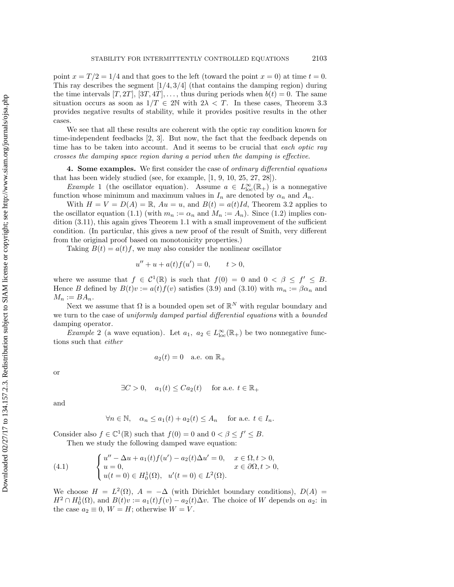point  $x = T/2 = 1/4$  and that goes to the left (toward the point  $x = 0$ ) at time  $t = 0$ . This ray describes the segment  $\left[\frac{1}{4}, \frac{3}{4}\right]$  (that contains the damping region) during the time intervals  $[T, 2T], [3T, 4T], \ldots$ , thus during periods when  $b(t) = 0$ . The same situation occurs as soon as  $1/T \in 2\mathbb{N}$  with  $2\lambda < T$ . In these cases, Theorem 3.3 provides negative results of stability, while it provides positive results in the other cases.

> We see that all these results are coherent with the optic ray condition known for time-independent feedbacks [2, 3]. But now, the fact that the feedback depends on time has to be taken into account. And it seems to be crucial that each optic ray crosses the damping space region during a period when the damping is effective.

> **4. Some examples.** We first consider the case of ordinary differential equations that has been widely studied (see, for example, [1, 9, 10, 25, 27, 28]).

> *Example* 1 (the oscillator equation). Assume  $a \in L^{\infty}_{loc}(\mathbb{R}_{+})$  is a nonnegative function whose minimum and maximum values in  $I_n$  are denoted by  $\alpha_n$  and  $A_n$ .

> With  $H = V = D(A) = \mathbb{R}$ ,  $Au = u$ , and  $B(t) = a(t)Id$ , Theorem 3.2 applies to the oscillator equation (1.1) (with  $m_n := \alpha_n$  and  $M_n := A_n$ ). Since (1.2) implies condition (3.11), this again gives Theorem 1.1 with a small improvement of the sufficient condition. (In particular, this gives a new proof of the result of Smith, very different from the original proof based on monotonicity properties.)

Taking  $B(t) = a(t)f$ , we may also consider the nonlinear oscillator

$$
u'' + u + a(t)f(u') = 0, \t t > 0,
$$

where we assume that  $f \in C^1(\mathbb{R})$  is such that  $f(0) = 0$  and  $0 < \beta \leq f' \leq B$ . Hence B defined by  $B(t)v := a(t)f(v)$  satisfies (3.9) and (3.10) with  $m_n := \beta \alpha_n$  and  $M_n := BA_n.$ 

Next we assume that  $\Omega$  is a bounded open set of  $\mathbb{R}^N$  with regular boundary and we turn to the case of *uniformly damped partial differential equations* with a *bounded* damping operator.

*Example* 2 (a wave equation). Let  $a_1, a_2 \in L^{\infty}_{loc}(\mathbb{R}_+)$  be two nonnegative functions such that either

$$
a_2(t) = 0 \quad \text{a.e. on } \mathbb{R}_+
$$

or

$$
\exists C > 0, \quad a_1(t) \leq C a_2(t) \quad \text{ for a.e. } t \in \mathbb{R}_+
$$

and

$$
\forall n \in \mathbb{N}, \quad \alpha_n \le a_1(t) + a_2(t) \le A_n \quad \text{ for a.e. } t \in I_n.
$$

Consider also  $f \in \mathbb{C}^1(\mathbb{R})$  such that  $f(0) = 0$  and  $0 < \beta \le f' \le B$ .

Then we study the following damped wave equation:

(4.1) 
$$
\begin{cases} u'' - \Delta u + a_1(t) f(u') - a_2(t) \Delta u' = 0, & x \in \Omega, t > 0, \\ u = 0, & x \in \partial\Omega, t > 0, \\ u(t = 0) \in H_0^1(\Omega), & u'(t = 0) \in L^2(\Omega). \end{cases}
$$

We choose  $H = L^2(\Omega)$ ,  $A = -\Delta$  (with Dirichlet boundary conditions),  $D(A) =$  $H^2 \cap H_0^1(\Omega)$ , and  $B(t)v := a_1(t)f(v) - a_2(t)\Delta v$ . The choice of W depends on  $a_2$ : in the case  $a_2 \equiv 0$ ,  $W = H$ ; otherwise  $W = V$ .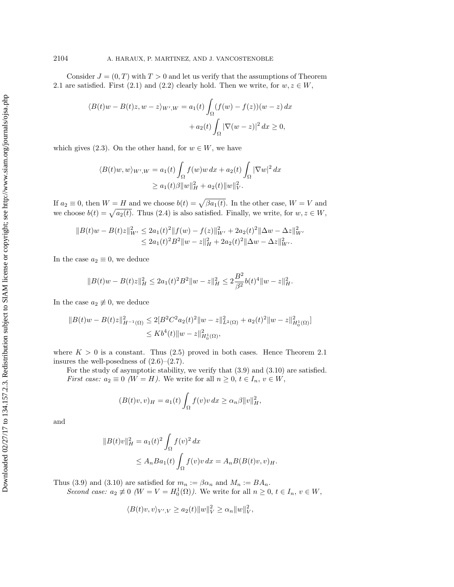Consider  $J = (0, T)$  with  $T > 0$  and let us verify that the assumptions of Theorem 2.1 are satisfied. First (2.1) and (2.2) clearly hold. Then we write, for  $w, z \in W$ ,

$$
\langle B(t)w - B(t)z, w - z \rangle_{W',W} = a_1(t) \int_{\Omega} (f(w) - f(z))(w - z) dx
$$

$$
+ a_2(t) \int_{\Omega} |\nabla(w - z)|^2 dx \ge 0,
$$

which gives (2.3). On the other hand, for  $w \in W$ , we have

$$
\langle B(t)w, w \rangle_{W',W} = a_1(t) \int_{\Omega} f(w)w \, dx + a_2(t) \int_{\Omega} |\nabla w|^2 \, dx
$$
  

$$
\ge a_1(t)\beta \|w\|_H^2 + a_2(t) \|w\|_V^2.
$$

If  $a_2 \equiv 0$ , then  $W = H$  and we choose  $b(t) = \sqrt{\beta a_1(t)}$ . In the other case,  $W = V$  and we choose  $b(t) = \sqrt{a_2(t)}$ . Thus (2.4) is also satisfied. Finally, we write, for  $w, z \in W$ ,

$$
||B(t)w - B(t)z||2W' \le 2a1(t)2 ||f(w) - f(z)||2W' + 2a2(t)2 ||\Delta w - \Delta z||2W' \le 2a1(t)2 B2 ||w - z||2H + 2a2(t)2 ||\Delta w - \Delta z||2W'.
$$

In the case  $a_2 \equiv 0$ , we deduce

$$
||B(t)w - B(t)z||_H^2 \le 2a_1(t)^2 B^2 ||w - z||_H^2 \le 2\frac{B^2}{\beta^2} b(t)^4 ||w - z||_H^2.
$$

In the case  $a_2 \not\equiv 0$ , we deduce

$$
||B(t)w - B(t)z||_{H^{-1}(\Omega)}^2 \le 2[B^2 C^2 a_2(t)^2 ||w - z||_{L^2(\Omega)}^2 + a_2(t)^2 ||w - z||_{H_0^1(\Omega)}^2]
$$
  

$$
\le Kb^4(t) ||w - z||_{H_0^1(\Omega)}^2,
$$

where  $K > 0$  is a constant. Thus (2.5) proved in both cases. Hence Theorem 2.1 insures the well-posedness of  $(2.6)$ – $(2.7)$ .

For the study of asymptotic stability, we verify that (3.9) and (3.10) are satisfied. *First case:*  $a_2 \equiv 0 \ (W = H)$ . We write for all  $n \geq 0, t \in I_n, v \in W$ ,

$$
(B(t)v, v)_H = a_1(t) \int_{\Omega} f(v)v \, dx \ge \alpha_n \beta ||v||_H^2,
$$

and

$$
||B(t)v||_H^2 = a_1(t)^2 \int_{\Omega} f(v)^2 dx
$$
  
 
$$
\leq A_n B a_1(t) \int_{\Omega} f(v)v dx = A_n B(B(t)v, v)_H.
$$

Thus (3.9) and (3.10) are satisfied for  $m_n := \beta \alpha_n$  and  $M_n := BA_n$ . Second case:  $a_2 \neq 0$  ( $W = V = H_0^1(\Omega)$ ). We write for all  $n \geq 0$ ,  $t \in I_n$ ,  $v \in W$ ,

$$
\langle B(t)v, v \rangle_{V', V} \ge a_2(t) \|w\|_V^2 \ge \alpha_n \|w\|_V^2,
$$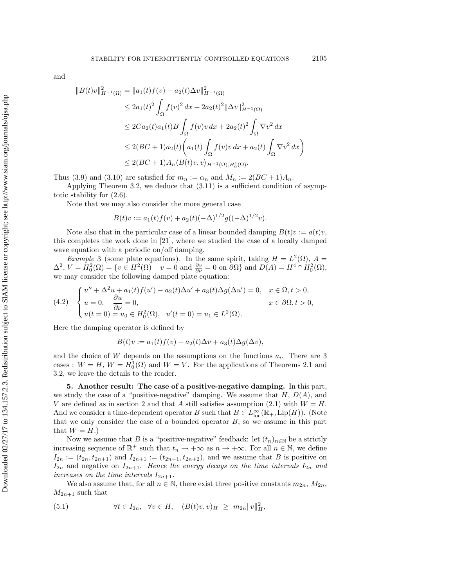and

$$
||B(t)v||_{H^{-1}(\Omega)}^2 = ||a_1(t)f(v) - a_2(t)\Delta v||_{H^{-1}(\Omega)}^2
$$
  
\n
$$
\leq 2a_1(t)^2 \int_{\Omega} f(v)^2 dx + 2a_2(t)^2 ||\Delta v||_{H^{-1}(\Omega)}^2
$$
  
\n
$$
\leq 2Ca_2(t)a_1(t)B \int_{\Omega} f(v)v dx + 2a_2(t)^2 \int_{\Omega} \nabla v^2 dx
$$
  
\n
$$
\leq 2(BC + 1)a_2(t) \left(a_1(t) \int_{\Omega} f(v)v dx + a_2(t) \int_{\Omega} \nabla v^2 dx\right)
$$
  
\n
$$
\leq 2(BC + 1)A_n \langle B(t)v, v \rangle_{H^{-1}(\Omega), H_0^1(\Omega)}.
$$

Thus (3.9) and (3.10) are satisfied for  $m_n := \alpha_n$  and  $M_n := 2(BC + 1)A_n$ .

Applying Theorem 3.2, we deduce that (3.11) is a sufficient condition of asymptotic stability for (2.6).

Note that we may also consider the more general case

$$
B(t)v := a_1(t)f(v) + a_2(t)(-\Delta)^{1/2}g((-\Delta)^{1/2}v).
$$

Note also that in the particular case of a linear bounded damping  $B(t)v := a(t)v$ , this completes the work done in [21], where we studied the case of a locally damped wave equation with a periodic on/off damping.

*Example* 3 (some plate equations). In the same spirit, taking  $H = L^2(\Omega)$ ,  $A =$  $\Delta^2$ ,  $V = H_0^2(\Omega) = \{v \in H^2(\Omega) \mid v = 0 \text{ and } \frac{\partial v}{\partial \nu} = 0 \text{ on } \partial\Omega\}$  and  $D(A) = H^4 \cap H_0^2(\Omega)$ , we may consider the following damped plate equation:

$$
(4.2) \quad\n\begin{cases}\nu'' + \Delta^2 u + a_1(t)f(u') - a_2(t)\Delta u' + a_3(t)\Delta g(\Delta u') = 0, & x \in \Omega, t > 0, \\
u = 0, & \frac{\partial u}{\partial \nu} = 0, & x \in \partial\Omega, t > 0, \\
u(t = 0) = u_0 \in H_0^2(\Omega), & u'(t = 0) = u_1 \in L^2(\Omega).\n\end{cases}
$$

Here the damping operator is defined by

$$
B(t)v := a_1(t)f(v) - a_2(t)\Delta v + a_3(t)\Delta g(\Delta v),
$$

and the choice of W depends on the assumptions on the functions  $a_i$ . There are 3 cases :  $W = H$ ,  $W = H_0^1(\Omega)$  and  $W = V$ . For the applications of Theorems 2.1 and 3.2, we leave the details to the reader.

**5. Another result: The case of a positive-negative damping.** In this part, we study the case of a "positive-negative" damping. We assume that  $H, D(A)$ , and V are defined as in section 2 and that A still satisfies assumption (2.1) with  $W = H$ . And we consider a time-dependent operator B such that  $B \in L^{\infty}_{loc}(\mathbb{R}_{+}, Lip(H))$ . (Note that we only consider the case of a bounded operator  $B$ , so we assume in this part that  $W = H.$ )

Now we assume that B is a "positive-negative" feedback: let  $(t_n)_{n\in\mathbb{N}}$  be a strictly increasing sequence of  $\mathbb{R}^+$  such that  $t_n \to +\infty$  as  $n \to +\infty$ . For all  $n \in \mathbb{N}$ , we define  $I_{2n} := (t_{2n}, t_{2n+1})$  and  $I_{2n+1} := (t_{2n+1}, t_{2n+2})$ , and we assume that B is positive on  $I_{2n}$  and negative on  $I_{2n+1}$ . Hence the energy decays on the time intervals  $I_{2n}$  and increases on the time intervals  $I_{2n+1}$ .

We also assume that, for all  $n \in \mathbb{N}$ , there exist three positive constants  $m_{2n}$ ,  $M_{2n}$ ,  $M_{2n+1}$  such that

(5.1) 
$$
\forall t \in I_{2n}, \ \forall v \in H, \ (B(t)v, v)_H \geq m_{2n} ||v||_H^2,
$$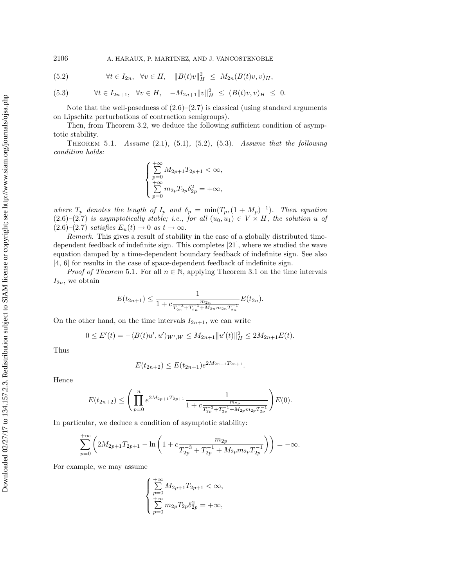2106 A. HARAUX, P. MARTINEZ, AND J. VANCOSTENOBLE

(5.2) 
$$
\forall t \in I_{2n}, \quad \forall v \in H, \quad ||B(t)v||_H^2 \leq M_{2n}(B(t)v, v)_H,
$$

(5.3) 
$$
\forall t \in I_{2n+1}, \ \forall v \in H, \ -M_{2n+1} ||v||_H^2 \leq (B(t)v, v)_H \leq 0.
$$

Note that the well-posedness of  $(2.6)$ – $(2.7)$  is classical (using standard arguments on Lipschitz perturbations of contraction semigroups).

Then, from Theorem 3.2, we deduce the following sufficient condition of asymptotic stability.

THEOREM 5.1. Assume  $(2.1)$ ,  $(5.1)$ ,  $(5.2)$ ,  $(5.3)$ . Assume that the following condition holds:

$$
\begin{cases}\sum_{p=0}^{+\infty}M_{2p+1}T_{2p+1}<\infty,\\ \sum_{p=0}^{+\infty}m_{2p}T_{2p}\delta_{2p}^2=+\infty,\end{cases}
$$

where  $T_p$  denotes the length of  $I_p$  and  $\delta_p = \min(T_p, (1 + M_p)^{-1})$ . Then equation  $(2.6)-(2.7)$  is asymptotically stable; i.e., for all  $(u_0, u_1) \in V \times H$ , the solution u of  $(2.6)-(2.7)$  satisfies  $E_u(t) \to 0$  as  $t \to \infty$ .

Remark. This gives a result of stability in the case of a globally distributed timedependent feedback of indefinite sign. This completes [21], where we studied the wave equation damped by a time-dependent boundary feedback of indefinite sign. See also [4, 6] for results in the case of space-dependent feedback of indefinite sign.

*Proof of Theorem* 5.1. For all  $n \in \mathbb{N}$ , applying Theorem 3.1 on the time intervals  $I_{2n}$ , we obtain

$$
E(t_{2n+1}) \leq \frac{1}{1 + c \frac{m_{2n}}{T_{2n}^{-3} + T_{2n}^{-1} + M_{2n} m_{2n} T_{2n}^{-1}}} E(t_{2n}).
$$

On the other hand, on the time intervals  $I_{2n+1}$ , we can write

$$
0 \le E'(t) = -\langle B(t)u', u' \rangle_{W',W} \le M_{2n+1} ||u'(t)||_H^2 \le 2M_{2n+1}E(t).
$$

Thus

$$
E(t_{2n+2}) \le E(t_{2n+1})e^{2M_{2n+1}T_{2n+1}}.
$$

Hence

$$
E(t_{2n+2}) \leq \left(\prod_{p=0}^{n} e^{2M_{2p+1}T_{2p+1}} \frac{1}{1 + c \frac{m_{2p}}{T_{2p}^{-3} + T_{2p}^{-1} + M_{2p}m_{2p}T_{2p}^{-1}}}\right) E(0).
$$

In particular, we deduce a condition of asymptotic stability:

$$
\sum_{p=0}^{+\infty} \left( 2M_{2p+1}T_{2p+1} - \ln\left(1 + c\frac{m_{2p}}{T_{2p}^{-3} + T_{2p}^{-1} + M_{2p}m_{2p}T_{2p}^{-1}}\right) \right) = -\infty.
$$

For example, we may assume

$$
\begin{cases}\sum_{p=0}^{+\infty}M_{2p+1}T_{2p+1}<\infty,\\ \sum_{p=0}^{+\infty}m_{2p}T_{2p}\delta_{2p}^2=+\infty,\end{cases}
$$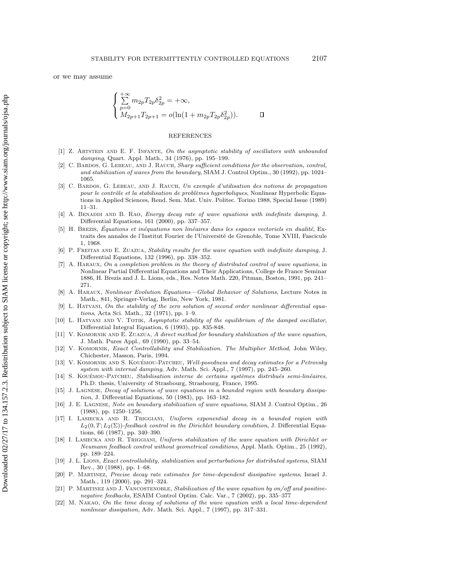$$
\begin{cases} \sum_{p=0} m_{2p} T_{2p} \delta_{2p}^2 = +\infty, \\ M_{2p+1} T_{2p+1} = o(\ln(1 + m_{2p} T_{2p} \delta_{2p}^2)). \end{cases} \square
$$

## **REFERENCES**

- [1] Z. ARTSTEIN AND E. F. INFANTE, On the asymptotic stability of oscillators with unbounded damping, Quart. Appl. Math., 34 (1976), pp. 195–199.
- [2] C. Bardos, G. Lebeau, and J. Rauch, Sharp sufficient conditions for the observation, control, and stabilization of waves from the boundary, SIAM J. Control Optim., 30 (1992), pp. 1024– 1065.
- [3] C. Bardos, G. Lebeau, and J. Rauch, Un exemple d'utilisation des notions de propagation pour le contrôle et la stabilisation de problèmes hyperboliques, Nonlinear Hyperbolic Equations in Applied Sciences, Rend. Sem. Mat. Univ. Politec. Torino 1988, Special Issue (1989) 11–31.
- [4] A. BENADDI AND B. RAO, *Energy decay rate of wave equations with indefinite damping*, J. Differential Equations, 161 (2000), pp. 337–357.
- [5] H. BREZIS, Équations et inéquations non linéaires dans les espaces vectoriels en dualité, Extraits des annales de l'Institut Fourier de l'Université de Grenoble, Tome XVIII, Fascicule 1, 1968.
- [6] P. Freitas and E. Zuazua, Stability results for the wave equation with indefinite damping, J. Differential Equations, 132 (1996), pp. 338–352.
- [7] A. HARAUX, On a completion problem in the theory of distributed control of wave equations, in Nonlinear Partial Differential Equations and Their Applications, College de France Seminar 1886, H. Brezis and J. L. Lions, eds., Res. Notes Math. 220, Pitman, Boston, 1991, pp. 241– 271.
- [8] A. Haraux, Nonlinear Evolution Equations—Global Behavior of Solutions, Lecture Notes in Math., 841, Springer-Verlag, Berlin, New York, 1981.
- [9] L. Hatvani, On the stability of the zero solution of second order nonlinear differential equations, Acta Sci. Math., 32 (1971), pp. 1–9.
- [10] L. HATVANI AND V. TOTIK, Asymptotic stability of the equilibrium of the damped oscillator, Differential Integral Equation, 6 (1993), pp. 835-848.
- V. KOMORNIK AND E. ZUAZUA, A direct method for boundary stabilization of the wave equation J. Math. Pures Appl., 69 (1990), pp. 33–54.
- [12] V. KOMORNIK, Exact Controllability and Stabilization. The Multiplier Method, John Wiley, Chichester, Masson, Paris, 1994.
- [13] V. KOMORNIK AND S. KOUÉMOU-PATCHEU, Well-posedness and decay estimates for a Petrovsky system with internal damping, Adv. Math. Sci. Appl., 7 (1997), pp. 245–260.
- [14] S. KOUÉMOU-PATCHEU, Stabilisation interne de certains systèmes distribués semi-linéaires, Ph.D. thesis, University of Strasbourg, Strasbourg, France, 1995.
- [15] J. LAGNESE, Decay of solutions of wave equations in a bounded region with boundary dissipation, J. Differential Equations, 50 (1983), pp. 163–182.
- [16] J. E. LAGNESE, Note on boundary stabilization of wave equations, SIAM J. Control Optim., 26 (1988), pp. 1250–1256.
- [17] I. Lasiecka and R. Triggiani, Uniform exponential decay in a bounded region with  $L_2(0,T;L_2(\Sigma))$ -feedback control in the Dirichlet boundary condition, J. Differential Equations, 66 (1987), pp. 340–390.
- [18] I. LASIECKA AND R. TRIGGIANI, Uniform stabilization of the wave equation with Dirichlet or Neumann feedback control without geometrical conditions, Appl. Math. Optim., 25 (1992), pp. 189–224.
- [19] J. L. Lions, Exact controllability, stabilization and perturbations for distributed systems, SIAM Rev., 30 (1988), pp. 1–68.
- [20] P. Martinez, Precise decay rate estimates for time-dependent dissipative systems, Israel J. Math., 119 (2000), pp. 291–324.
- [21] P. MARTINEZ AND J. VANCOSTENOBLE, Stabilization of the wave equation by on/off and positivenegative feedbacks, ESAIM Control Optim. Calc. Var., 7 (2002), pp. 335–377
- [22] M. Nakao, On the time decay of solutions of the wave equation with a local time-dependent nonlinear dissipation, Adv. Math. Sci. Appl., 7 (1997), pp. 317–331.